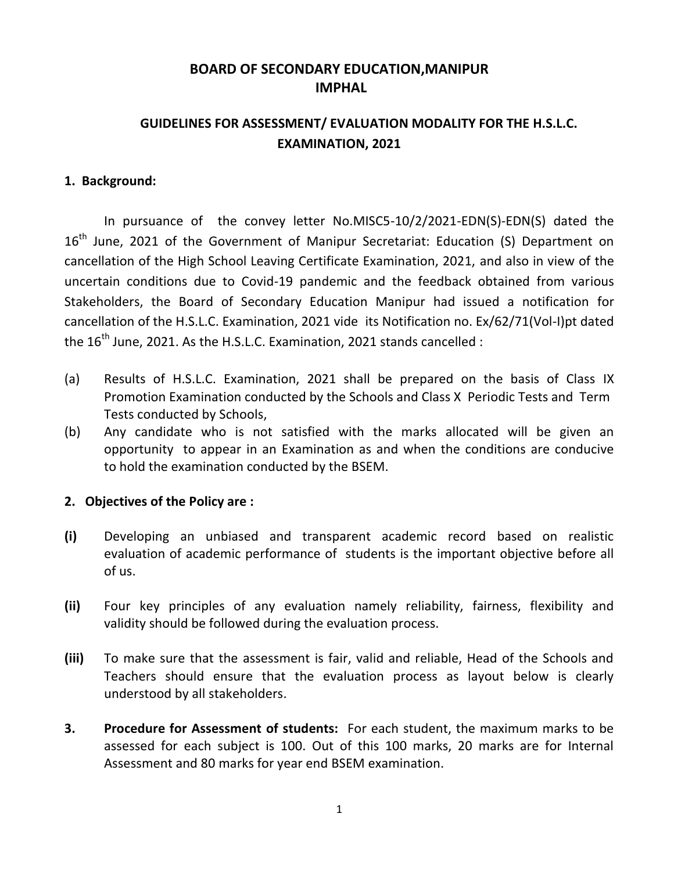# **BOARD OF SECONDARY EDUCATION,MANIPUR IMPHAL**

# **GUIDELINES FOR ASSESSMENT/ EVALUATION MODALITY FOR THE H.S.L.C. EXAMINATION, 2021**

## **1. Background:**

In pursuance of the convey letter No.MISC5-10/2/2021-EDN(S)-EDN(S) dated the 16<sup>th</sup> June, 2021 of the Government of Manipur Secretariat: Education (S) Department on cancellation of the High School Leaving Certificate Examination, 2021, and also in view of the uncertain conditions due to Covid-19 pandemic and the feedback obtained from various Stakeholders, the Board of Secondary Education Manipur had issued a notification for cancellation of the H.S.L.C. Examination, 2021 vide its Notification no. Ex/62/71(Vol-I)pt dated the  $16<sup>th</sup>$  June, 2021. As the H.S.L.C. Examination, 2021 stands cancelled :

- (a) Results of H.S.L.C. Examination, 2021 shall be prepared on the basis of Class IX Promotion Examination conducted by the Schools and Class X Periodic Tests and Term Tests conducted by Schools,
- (b) Any candidate who is not satisfied with the marks allocated will be given an opportunity to appear in an Examination as and when the conditions are conducive to hold the examination conducted by the BSEM.

## **2. Objectives of the Policy are :**

- **(i)** Developing an unbiased and transparent academic record based on realistic evaluation of academic performance of students is the important objective before all of us.
- **(ii)** Four key principles of any evaluation namely reliability, fairness, flexibility and validity should be followed during the evaluation process.
- **(iii)** To make sure that the assessment is fair, valid and reliable, Head of the Schools and Teachers should ensure that the evaluation process as layout below is clearly understood by all stakeholders.
- **3. Procedure for Assessment of students:** For each student, the maximum marks to be assessed for each subject is 100. Out of this 100 marks, 20 marks are for Internal Assessment and 80 marks for year end BSEM examination.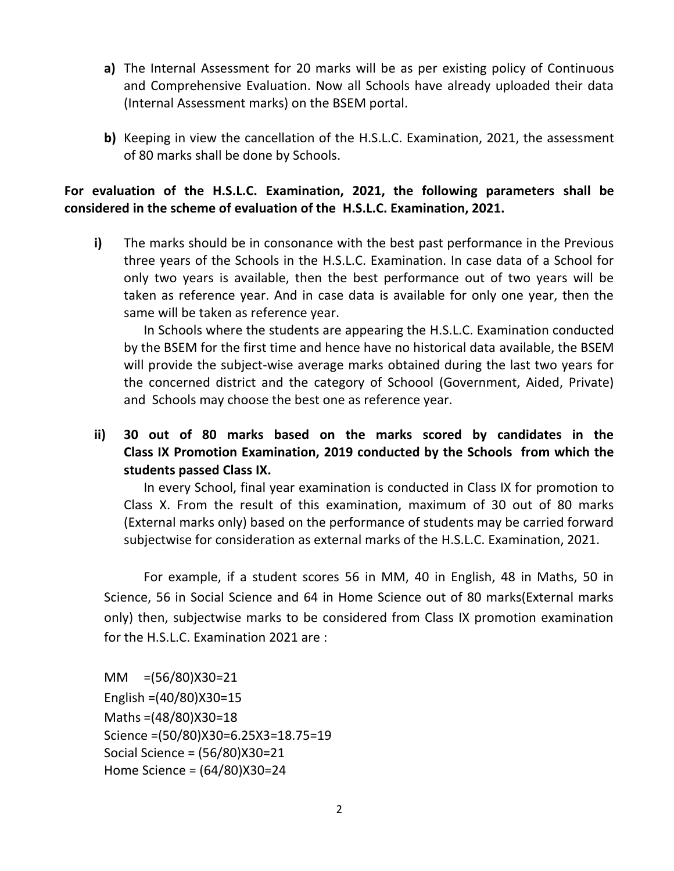- **a)** The Internal Assessment for 20 marks will be as per existing policy of Continuous and Comprehensive Evaluation. Now all Schools have already uploaded their data (Internal Assessment marks) on the BSEM portal.
- **b)** Keeping in view the cancellation of the H.S.L.C. Examination, 2021, the assessment of 80 marks shall be done by Schools.

# **For evaluation of the H.S.L.C. Examination, 2021, the following parameters shall be considered in the scheme of evaluation of the H.S.L.C. Examination, 2021.**

**i)** The marks should be in consonance with the best past performance in the Previous three years of the Schools in the H.S.L.C. Examination. In case data of a School for only two years is available, then the best performance out of two years will be taken as reference year. And in case data is available for only one year, then the same will be taken as reference year.

In Schools where the students are appearing the H.S.L.C. Examination conducted by the BSEM for the first time and hence have no historical data available, the BSEM will provide the subject-wise average marks obtained during the last two years for the concerned district and the category of Schoool (Government, Aided, Private) and Schools may choose the best one as reference year.

**ii) 30 out of 80 marks based on the marks scored by candidates in the Class IX Promotion Examination, 2019 conducted by the Schools from which the students passed Class IX.**

In every School, final year examination is conducted in Class IX for promotion to Class X. From the result of this examination, maximum of 30 out of 80 marks (External marks only) based on the performance of students may be carried forward subjectwise for consideration as external marks of the H.S.L.C. Examination, 2021.

For example, if a student scores 56 in MM, 40 in English, 48 in Maths, 50 in Science, 56 in Social Science and 64 in Home Science out of 80 marks(External marks only) then, subjectwise marks to be considered from Class IX promotion examination for the H.S.L.C. Examination 2021 are :

MM =(56/80)X30=21 English =(40/80)X30=15 Maths =(48/80)X30=18 Science =(50/80)X30=6.25X3=18.75=19 Social Science = (56/80)X30=21 Home Science = (64/80)X30=24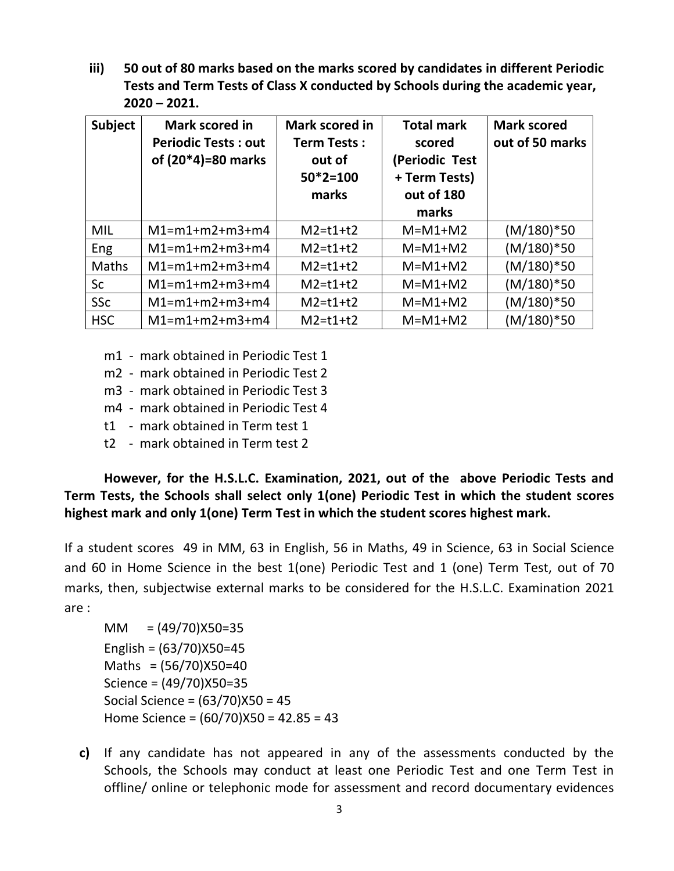**iii) 50 out of 80 marks based on the marks scored by candidates in different Periodic Tests and Term Tests of Class X conducted by Schools during the academic year, 2020 – 2021.**

| <b>Subject</b> | Mark scored in<br><b>Periodic Tests: out</b><br>of (20*4)=80 marks | Mark scored in<br><b>Term Tests:</b><br>out of<br>$50*2=100$<br>marks | <b>Total mark</b><br>scored<br>(Periodic Test<br>+ Term Tests)<br>out of 180<br>marks | <b>Mark scored</b><br>out of 50 marks |
|----------------|--------------------------------------------------------------------|-----------------------------------------------------------------------|---------------------------------------------------------------------------------------|---------------------------------------|
| MIL            | $M1 = m1 + m2 + m3 + m4$                                           | $M2 = t1 + t2$                                                        | $M=M1+M2$                                                                             | $(M/180)*50$                          |
| <b>Eng</b>     | $M1 = m1 + m2 + m3 + m4$                                           | $M2 = t1 + t2$                                                        | $M=M1+M2$                                                                             | $(M/180)*50$                          |
| <b>Maths</b>   | $M1 = m1 + m2 + m3 + m4$                                           | $M2 = t1 + t2$                                                        | $M=M1+M2$                                                                             | $(M/180)*50$                          |
| <b>Sc</b>      | $M1 = m1 + m2 + m3 + m4$                                           | $M2 = t1 + t2$                                                        | $M=M1+M2$                                                                             | $(M/180)*50$                          |
| <b>SSc</b>     | $M1 = m1 + m2 + m3 + m4$                                           | $M2 = t1 + t2$                                                        | $M=M1+M2$                                                                             | $(M/180)*50$                          |
| <b>HSC</b>     | $M1 = m1 + m2 + m3 + m4$                                           | $M2 = t1 + t2$                                                        | $M=M1+M2$                                                                             | $(M/180)*50$                          |

- m1 mark obtained in Periodic Test 1
- m2 mark obtained in Periodic Test 2
- m3 mark obtained in Periodic Test 3
- m4 mark obtained in Periodic Test 4
- t1 mark obtained in Term test 1
- t2 mark obtained in Term test 2

**However, for the H.S.L.C. Examination, 2021, out of the above Periodic Tests and Term Tests, the Schools shall select only 1(one) Periodic Test in which the student scores highest mark and only 1(one) Term Test in which the student scores highest mark.**

If a student scores 49 in MM, 63 in English, 56 in Maths, 49 in Science, 63 in Social Science and 60 in Home Science in the best 1(one) Periodic Test and 1 (one) Term Test, out of 70 marks, then, subjectwise external marks to be considered for the H.S.L.C. Examination 2021 are :

 $MM = (49/70)X50=35$ English = (63/70)X50=45 Maths  $=(56/70)X50=40$ Science = (49/70)X50=35 Social Science = (63/70)X50 = 45 Home Science = (60/70)X50 = 42.85 = 43

**c)** If any candidate has not appeared in any of the assessments conducted by the Schools, the Schools may conduct at least one Periodic Test and one Term Test in offline/ online or telephonic mode for assessment and record documentary evidences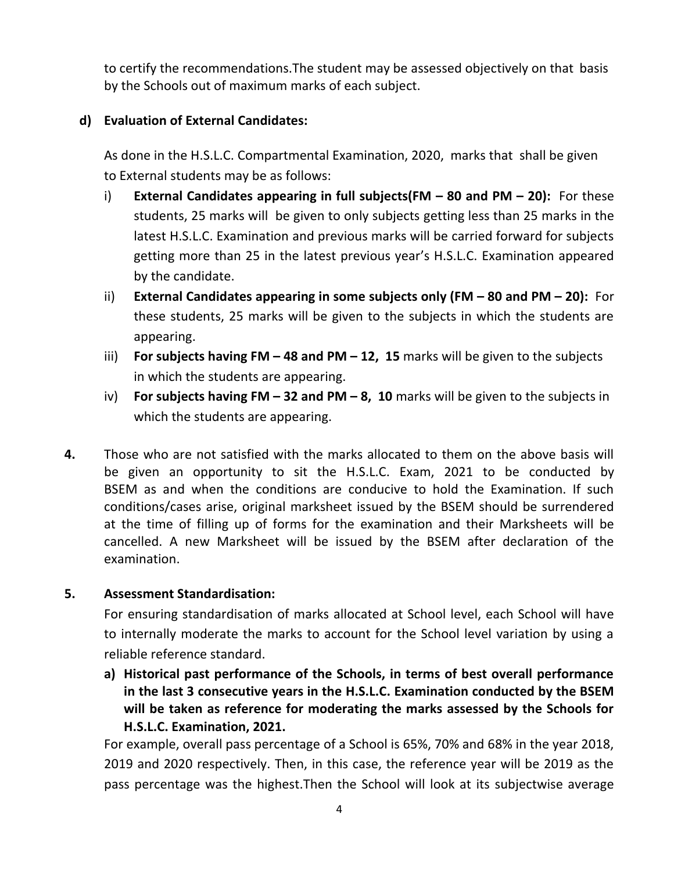to certify the recommendations.The student may be assessed objectively on that basis by the Schools out of maximum marks of each subject.

# **d) Evaluation of External Candidates:**

As done in the H.S.L.C. Compartmental Examination, 2020, marks that shall be given to External students may be as follows:

- i) **External Candidates appearing in full subjects(FM – 80 and PM – 20):** For these students, 25 marks will be given to only subjects getting less than 25 marks in the latest H.S.L.C. Examination and previous marks will be carried forward for subjects getting more than 25 in the latest previous year's H.S.L.C. Examination appeared by the candidate.
- ii) **External Candidates appearing in some subjects only (FM – 80 and PM – 20):** For these students, 25 marks will be given to the subjects in which the students are appearing.
- iii) **For subjects having FM – 48 and PM – 12, 15** marks will be given to the subjects in which the students are appearing.
- iv) **For subjects having FM – 32 and PM – 8, 10** marks will be given to the subjects in which the students are appearing.
- **4.** Those who are not satisfied with the marks allocated to them on the above basis will be given an opportunity to sit the H.S.L.C. Exam, 2021 to be conducted by BSEM as and when the conditions are conducive to hold the Examination. If such conditions/cases arise, original marksheet issued by the BSEM should be surrendered at the time of filling up of forms for the examination and their Marksheets will be cancelled. A new Marksheet will be issued by the BSEM after declaration of the examination.

## **5. Assessment Standardisation:**

For ensuring standardisation of marks allocated at School level, each School will have to internally moderate the marks to account for the School level variation by using a reliable reference standard.

**a) Historical past performance of the Schools, in terms of best overall performance in the last 3 consecutive years in the H.S.L.C. Examination conducted by the BSEM will be taken as reference for moderating the marks assessed by the Schools for H.S.L.C. Examination, 2021.**

For example, overall pass percentage of a School is 65%, 70% and 68% in the year 2018, 2019 and 2020 respectively. Then, in this case, the reference year will be 2019 as the pass percentage was the highest.Then the School will look at its subjectwise average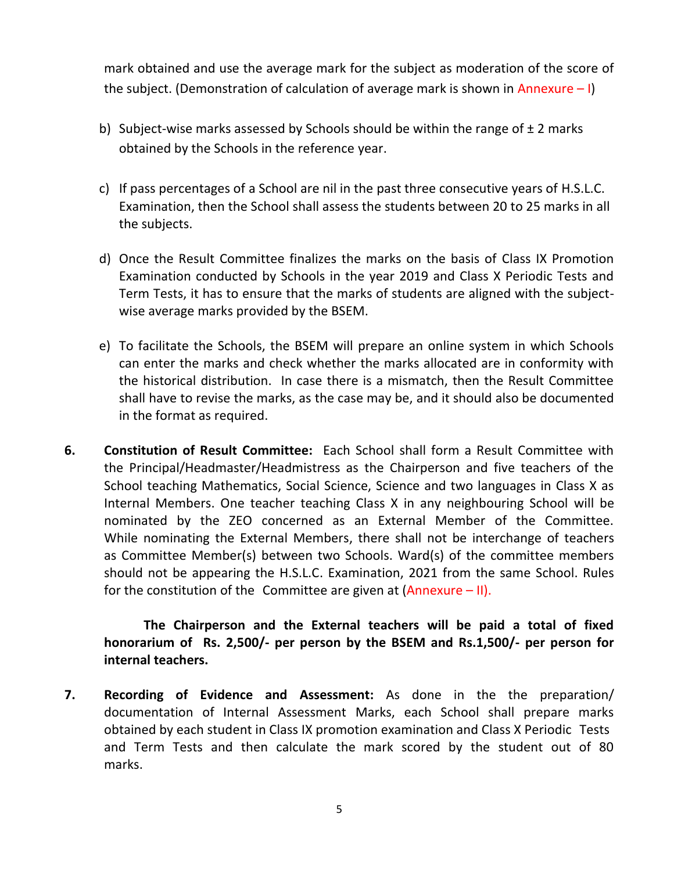mark obtained and use the average mark for the subject as moderation of the score of the subject. (Demonstration of calculation of average mark is shown in Annexure  $-1$ )

- b) Subject-wise marks assessed by Schools should be within the range of  $\pm 2$  marks obtained by the Schools in the reference year.
- c) If pass percentages of a School are nil in the past three consecutive years of H.S.L.C. Examination, then the School shall assess the students between 20 to 25 marks in all the subjects.
- d) Once the Result Committee finalizes the marks on the basis of Class IX Promotion Examination conducted by Schools in the year 2019 and Class X Periodic Tests and Term Tests, it has to ensure that the marks of students are aligned with the subjectwise average marks provided by the BSEM.
- e) To facilitate the Schools, the BSEM will prepare an online system in which Schools can enter the marks and check whether the marks allocated are in conformity with the historical distribution. In case there is a mismatch, then the Result Committee shall have to revise the marks, as the case may be, and it should also be documented in the format as required.
- **6. Constitution of Result Committee:** Each School shall form a Result Committee with the Principal/Headmaster/Headmistress as the Chairperson and five teachers of the School teaching Mathematics, Social Science, Science and two languages in Class X as Internal Members. One teacher teaching Class X in any neighbouring School will be nominated by the ZEO concerned as an External Member of the Committee. While nominating the External Members, there shall not be interchange of teachers as Committee Member(s) between two Schools. Ward(s) of the committee members should not be appearing the H.S.L.C. Examination, 2021 from the same School. Rules for the constitution of the Committee are given at  $(Annexure - II).$

**The Chairperson and the External teachers will be paid a total of fixed honorarium of Rs. 2,500/- per person by the BSEM and Rs.1,500/- per person for internal teachers.** 

**7. Recording of Evidence and Assessment:** As done in the the preparation/ documentation of Internal Assessment Marks, each School shall prepare marks obtained by each student in Class IX promotion examination and Class X Periodic Tests and Term Tests and then calculate the mark scored by the student out of 80 marks.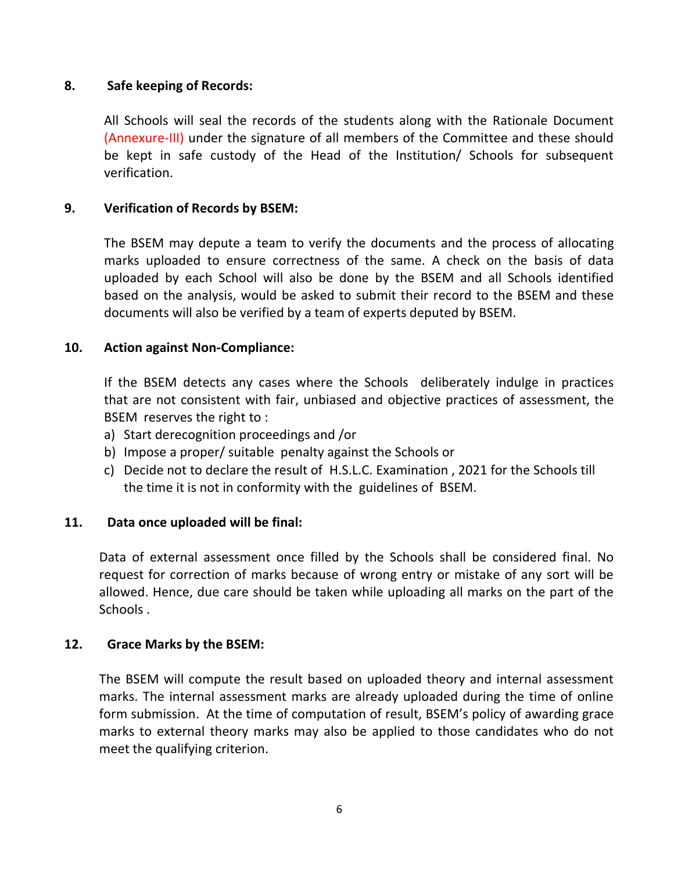## **8. Safe keeping of Records:**

All Schools will seal the records of the students along with the Rationale Document (Annexure-III) under the signature of all members of the Committee and these should be kept in safe custody of the Head of the Institution/ Schools for subsequent verification.

## **9. Verification of Records by BSEM:**

The BSEM may depute a team to verify the documents and the process of allocating marks uploaded to ensure correctness of the same. A check on the basis of data uploaded by each School will also be done by the BSEM and all Schools identified based on the analysis, would be asked to submit their record to the BSEM and these documents will also be verified by a team of experts deputed by BSEM.

## **10. Action against Non-Compliance:**

If the BSEM detects any cases where the Schools deliberately indulge in practices that are not consistent with fair, unbiased and objective practices of assessment, the BSEM reserves the right to :

- a) Start derecognition proceedings and /or
- b) Impose a proper/ suitable penalty against the Schools or
- c) Decide not to declare the result of H.S.L.C. Examination , 2021 for the Schools till the time it is not in conformity with the guidelines of BSEM.

## **11. Data once uploaded will be final:**

Data of external assessment once filled by the Schools shall be considered final. No request for correction of marks because of wrong entry or mistake of any sort will be allowed. Hence, due care should be taken while uploading all marks on the part of the Schools .

## **12. Grace Marks by the BSEM:**

The BSEM will compute the result based on uploaded theory and internal assessment marks. The internal assessment marks are already uploaded during the time of online form submission. At the time of computation of result, BSEM's policy of awarding grace marks to external theory marks may also be applied to those candidates who do not meet the qualifying criterion.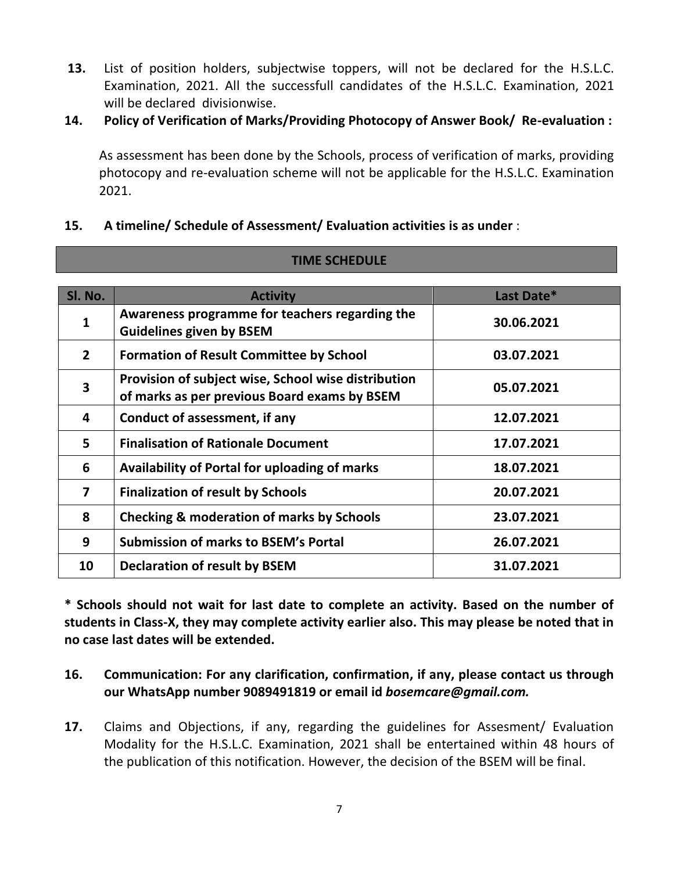- **13.** List of position holders, subjectwise toppers, will not be declared for the H.S.L.C. Examination, 2021. All the successfull candidates of the H.S.L.C. Examination, 2021 will be declared divisionwise.
- **14. Policy of Verification of Marks/Providing Photocopy of Answer Book/ Re-evaluation :**

As assessment has been done by the Schools, process of verification of marks, providing photocopy and re-evaluation scheme will not be applicable for the H.S.L.C. Examination 2021.

## **15. A timeline/ Schedule of Assessment/ Evaluation activities is as under** :

| SI. No.                 | <b>Activity</b>                                                                                     | Last Date* |
|-------------------------|-----------------------------------------------------------------------------------------------------|------------|
| $\mathbf{1}$            | Awareness programme for teachers regarding the<br><b>Guidelines given by BSEM</b>                   | 30.06.2021 |
| $\mathbf{2}$            | <b>Formation of Result Committee by School</b>                                                      | 03.07.2021 |
| $\overline{\mathbf{3}}$ | Provision of subject wise, School wise distribution<br>of marks as per previous Board exams by BSEM | 05.07.2021 |
| 4                       | Conduct of assessment, if any                                                                       | 12.07.2021 |
| 5                       | <b>Finalisation of Rationale Document</b>                                                           | 17.07.2021 |
| 6                       | Availability of Portal for uploading of marks                                                       | 18.07.2021 |
| $\overline{\mathbf{z}}$ | <b>Finalization of result by Schools</b>                                                            | 20.07.2021 |
| 8                       | <b>Checking &amp; moderation of marks by Schools</b>                                                | 23.07.2021 |
| 9                       | <b>Submission of marks to BSEM's Portal</b>                                                         | 26.07.2021 |
| 10                      | <b>Declaration of result by BSEM</b>                                                                | 31.07.2021 |

**TIME SCHEDULE**

**\* Schools should not wait for last date to complete an activity. Based on the number of students in Class-X, they may complete activity earlier also. This may please be noted that in no case last dates will be extended.**

## **16. Communication: For any clarification, confirmation, if any, please contact us through our WhatsApp number 9089491819 or email id** *bosemcare@gmail.com.*

**17.** Claims and Objections, if any, regarding the guidelines for Assesment/ Evaluation Modality for the H.S.L.C. Examination, 2021 shall be entertained within 48 hours of the publication of this notification. However, the decision of the BSEM will be final.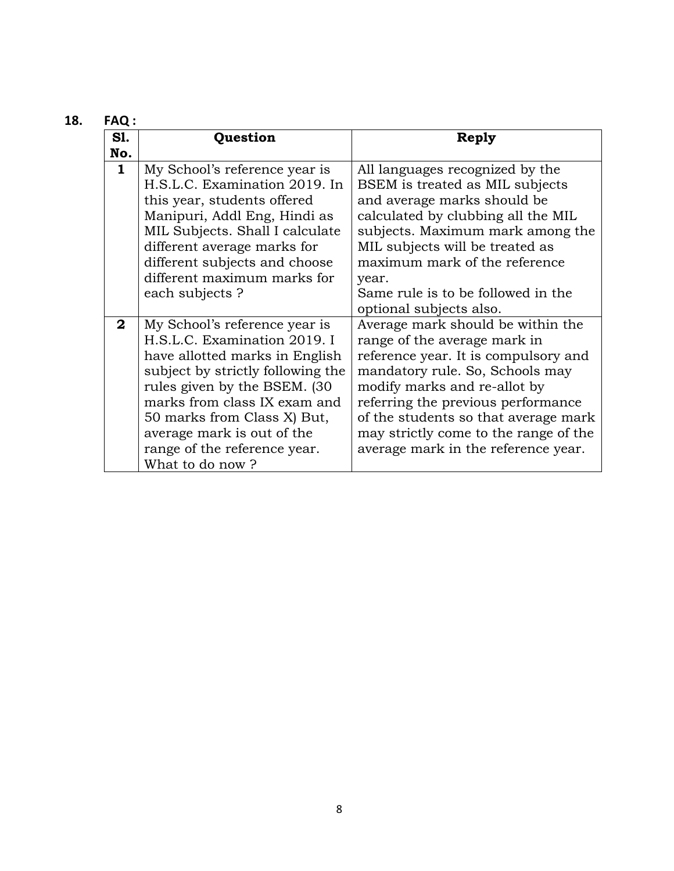| 18. | <b>FAQ:</b>  |                                                                                                                                                                                                                                                                                                                       |                                                                                                                                                                                                                                                                                                                                            |
|-----|--------------|-----------------------------------------------------------------------------------------------------------------------------------------------------------------------------------------------------------------------------------------------------------------------------------------------------------------------|--------------------------------------------------------------------------------------------------------------------------------------------------------------------------------------------------------------------------------------------------------------------------------------------------------------------------------------------|
|     | <b>S1.</b>   | Question                                                                                                                                                                                                                                                                                                              | Reply                                                                                                                                                                                                                                                                                                                                      |
|     | No.          |                                                                                                                                                                                                                                                                                                                       |                                                                                                                                                                                                                                                                                                                                            |
|     | $\mathbf{1}$ | My School's reference year is<br>H.S.L.C. Examination 2019. In<br>this year, students offered<br>Manipuri, Addl Eng, Hindi as<br>MIL Subjects. Shall I calculate<br>different average marks for<br>different subjects and choose<br>different maximum marks for<br>each subjects?                                     | All languages recognized by the<br>BSEM is treated as MIL subjects<br>and average marks should be<br>calculated by clubbing all the MIL<br>subjects. Maximum mark among the<br>MIL subjects will be treated as<br>maximum mark of the reference<br>year.<br>Same rule is to be followed in the<br>optional subjects also.                  |
|     | $\mathbf{2}$ | My School's reference year is<br>H.S.L.C. Examination 2019. I<br>have allotted marks in English<br>subject by strictly following the<br>rules given by the BSEM. (30)<br>marks from class IX exam and<br>50 marks from Class X) But,<br>average mark is out of the<br>range of the reference year.<br>What to do now? | Average mark should be within the<br>range of the average mark in<br>reference year. It is compulsory and<br>mandatory rule. So, Schools may<br>modify marks and re-allot by<br>referring the previous performance<br>of the students so that average mark<br>may strictly come to the range of the<br>average mark in the reference year. |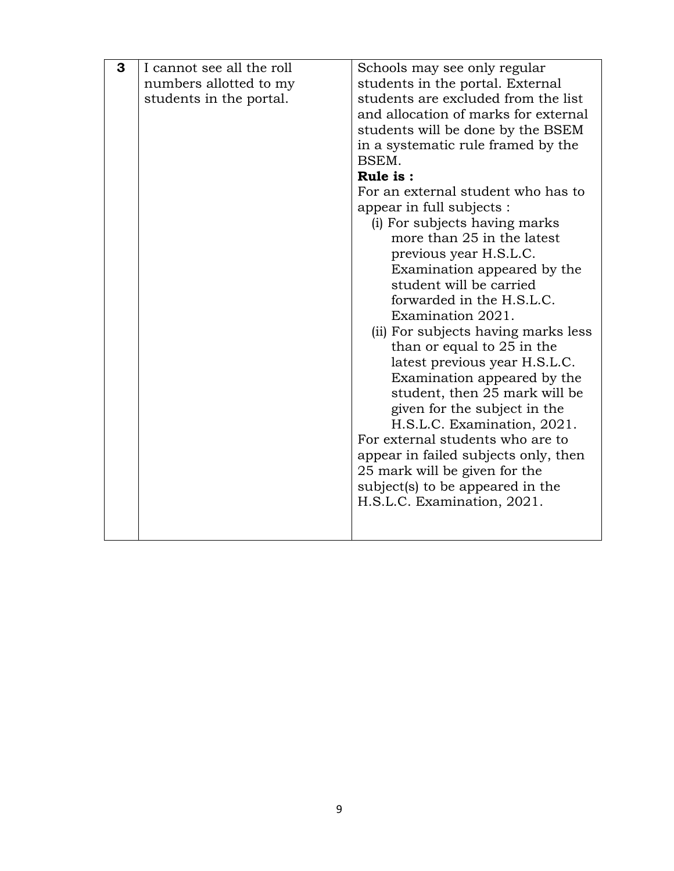| 3 | I cannot see all the roll | Schools may see only regular                               |  |  |
|---|---------------------------|------------------------------------------------------------|--|--|
|   | numbers allotted to my    | students in the portal. External                           |  |  |
|   | students in the portal.   | students are excluded from the list                        |  |  |
|   |                           | and allocation of marks for external                       |  |  |
|   |                           | students will be done by the BSEM                          |  |  |
|   |                           | in a systematic rule framed by the                         |  |  |
|   |                           | BSEM.                                                      |  |  |
|   |                           | Rule is:                                                   |  |  |
|   |                           | For an external student who has to                         |  |  |
|   |                           |                                                            |  |  |
|   |                           | appear in full subjects :<br>(i) For subjects having marks |  |  |
|   |                           | more than 25 in the latest                                 |  |  |
|   |                           |                                                            |  |  |
|   |                           | previous year H.S.L.C.                                     |  |  |
|   |                           | Examination appeared by the<br>student will be carried     |  |  |
|   |                           | forwarded in the H.S.L.C.                                  |  |  |
|   |                           | Examination 2021.                                          |  |  |
|   |                           | (ii) For subjects having marks less                        |  |  |
|   |                           | than or equal to 25 in the                                 |  |  |
|   |                           | latest previous year H.S.L.C.                              |  |  |
|   |                           | Examination appeared by the                                |  |  |
|   |                           | student, then 25 mark will be                              |  |  |
|   |                           | given for the subject in the                               |  |  |
|   |                           | H.S.L.C. Examination, 2021.                                |  |  |
|   |                           | For external students who are to                           |  |  |
|   |                           | appear in failed subjects only, then                       |  |  |
|   |                           | 25 mark will be given for the                              |  |  |
|   |                           | subject(s) to be appeared in the                           |  |  |
|   |                           | H.S.L.C. Examination, 2021.                                |  |  |
|   |                           |                                                            |  |  |
|   |                           |                                                            |  |  |
|   |                           |                                                            |  |  |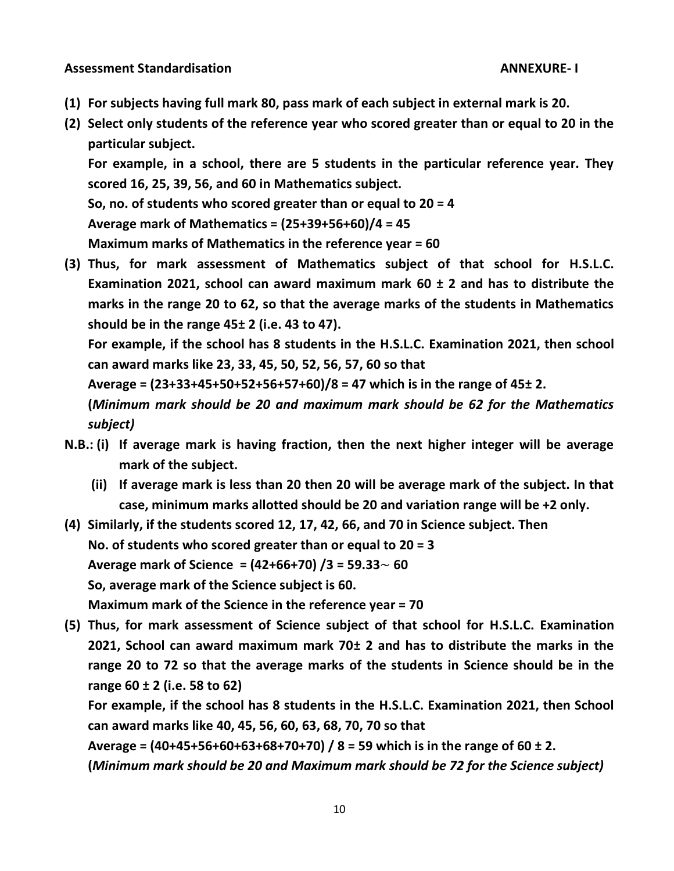**Assessment Standardisation ANNEXURE- I**

- **(1) For subjects having full mark 80, pass mark of each subject in external mark is 20.**
- **(2) Select only students of the reference year who scored greater than or equal to 20 in the particular subject.**

**For example, in a school, there are 5 students in the particular reference year. They scored 16, 25, 39, 56, and 60 in Mathematics subject.**

**So, no. of students who scored greater than or equal to 20 = 4** 

**Average mark of Mathematics = (25+39+56+60)/4 = 45**

**Maximum marks of Mathematics in the reference year = 60**

**(3) Thus, for mark assessment of Mathematics subject of that school for H.S.L.C. Examination 2021, school can award maximum mark 60 ± 2 and has to distribute the marks in the range 20 to 62, so that the average marks of the students in Mathematics should be in the range 45± 2 (i.e. 43 to 47).**

**For example, if the school has 8 students in the H.S.L.C. Examination 2021, then school can award marks like 23, 33, 45, 50, 52, 56, 57, 60 so that**

**Average = (23+33+45+50+52+56+57+60)/8 = 47 which is in the range of 45± 2.**

**(***Minimum mark should be 20 and maximum mark should be 62 for the Mathematics subject)*

- **N.B.: (i) If average mark is having fraction, then the next higher integer will be average mark of the subject.**
	- **(ii) If average mark is less than 20 then 20 will be average mark of the subject. In that case, minimum marks allotted should be 20 and variation range will be +2 only.**

**(4) Similarly, if the students scored 12, 17, 42, 66, and 70 in Science subject. Then No. of students who scored greater than or equal to 20 = 3 Average mark of Science = (42+66+70) /3 = 59.33**~ **60 So, average mark of the Science subject is 60. Maximum mark of the Science in the reference year = 70**

**(5) Thus, for mark assessment of Science subject of that school for H.S.L.C. Examination 2021, School can award maximum mark 70± 2 and has to distribute the marks in the range 20 to 72 so that the average marks of the students in Science should be in the range 60 ± 2 (i.e. 58 to 62)**

**For example, if the school has 8 students in the H.S.L.C. Examination 2021, then School can award marks like 40, 45, 56, 60, 63, 68, 70, 70 so that**

**Average = (40+45+56+60+63+68+70+70) / 8 = 59 which is in the range of 60 ± 2. (***Minimum mark should be 20 and Maximum mark should be 72 for the Science subject)*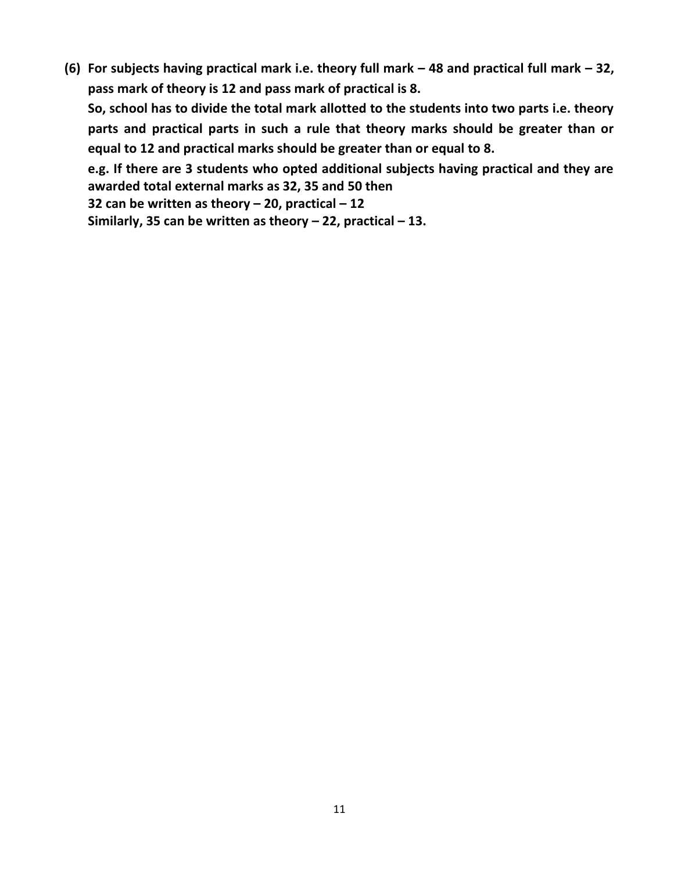**(6) For subjects having practical mark i.e. theory full mark – 48 and practical full mark – 32, pass mark of theory is 12 and pass mark of practical is 8.**

**So, school has to divide the total mark allotted to the students into two parts i.e. theory parts and practical parts in such a rule that theory marks should be greater than or equal to 12 and practical marks should be greater than or equal to 8.**

**e.g. If there are 3 students who opted additional subjects having practical and they are awarded total external marks as 32, 35 and 50 then 32 can be written as theory – 20, practical – 12**

**Similarly, 35 can be written as theory – 22, practical – 13.**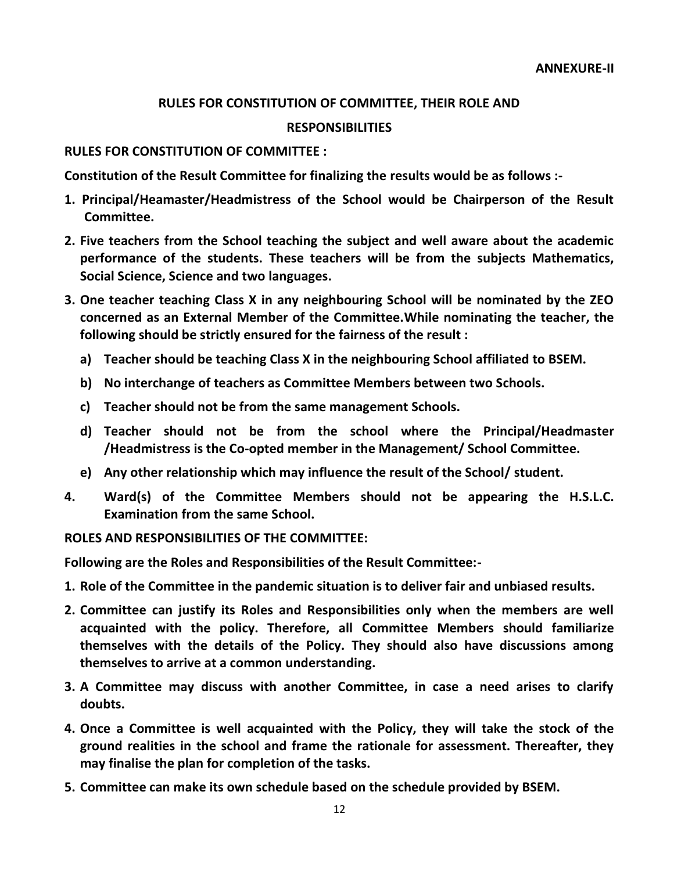## **RULES FOR CONSTITUTION OF COMMITTEE, THEIR ROLE AND**

#### **RESPONSIBILITIES**

#### **RULES FOR CONSTITUTION OF COMMITTEE :**

**Constitution of the Result Committee for finalizing the results would be as follows :-**

- **1. Principal/Heamaster/Headmistress of the School would be Chairperson of the Result Committee.**
- **2. Five teachers from the School teaching the subject and well aware about the academic performance of the students. These teachers will be from the subjects Mathematics, Social Science, Science and two languages.**
- **3. One teacher teaching Class X in any neighbouring School will be nominated by the ZEO concerned as an External Member of the Committee.While nominating the teacher, the following should be strictly ensured for the fairness of the result :**
	- **a) Teacher should be teaching Class X in the neighbouring School affiliated to BSEM.**
	- **b) No interchange of teachers as Committee Members between two Schools.**
	- **c) Teacher should not be from the same management Schools.**
	- **d) Teacher should not be from the school where the Principal/Headmaster /Headmistress is the Co-opted member in the Management/ School Committee.**
	- **e) Any other relationship which may influence the result of the School/ student.**
- **4. Ward(s) of the Committee Members should not be appearing the H.S.L.C. Examination from the same School.**

## **ROLES AND RESPONSIBILITIES OF THE COMMITTEE:**

**Following are the Roles and Responsibilities of the Result Committee:-**

- **1. Role of the Committee in the pandemic situation is to deliver fair and unbiased results.**
- **2. Committee can justify its Roles and Responsibilities only when the members are well acquainted with the policy. Therefore, all Committee Members should familiarize themselves with the details of the Policy. They should also have discussions among themselves to arrive at a common understanding.**
- **3. A Committee may discuss with another Committee, in case a need arises to clarify doubts.**
- **4. Once a Committee is well acquainted with the Policy, they will take the stock of the ground realities in the school and frame the rationale for assessment. Thereafter, they may finalise the plan for completion of the tasks.**
- **5. Committee can make its own schedule based on the schedule provided by BSEM.**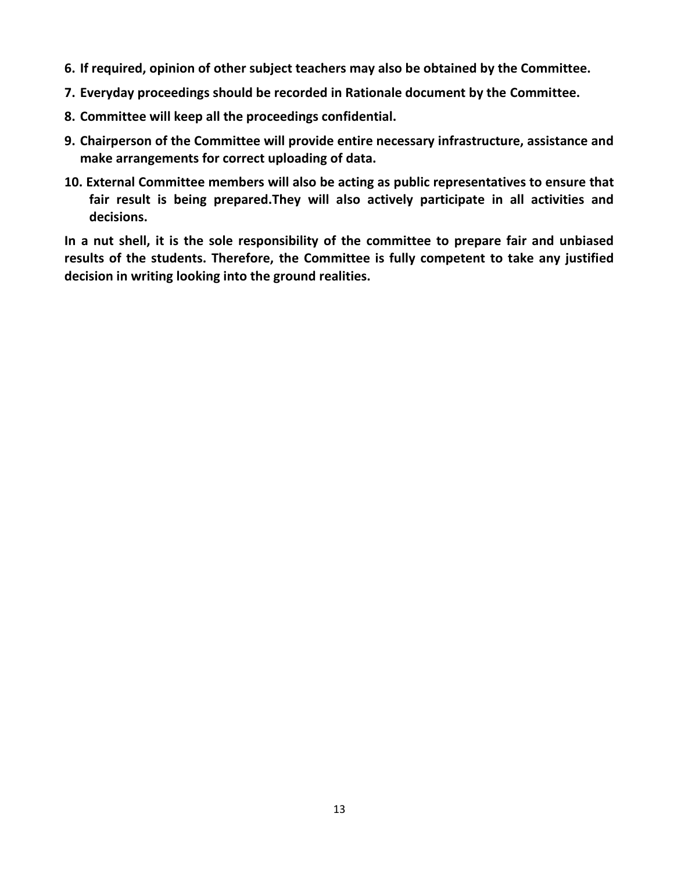- **6. If required, opinion of other subject teachers may also be obtained by the Committee.**
- **7. Everyday proceedings should be recorded in Rationale document by the Committee.**
- **8. Committee will keep all the proceedings confidential.**
- **9. Chairperson of the Committee will provide entire necessary infrastructure, assistance and make arrangements for correct uploading of data.**
- **10. External Committee members will also be acting as public representatives to ensure that fair result is being prepared.They will also actively participate in all activities and decisions.**

**In a nut shell, it is the sole responsibility of the committee to prepare fair and unbiased results of the students. Therefore, the Committee is fully competent to take any justified decision in writing looking into the ground realities.**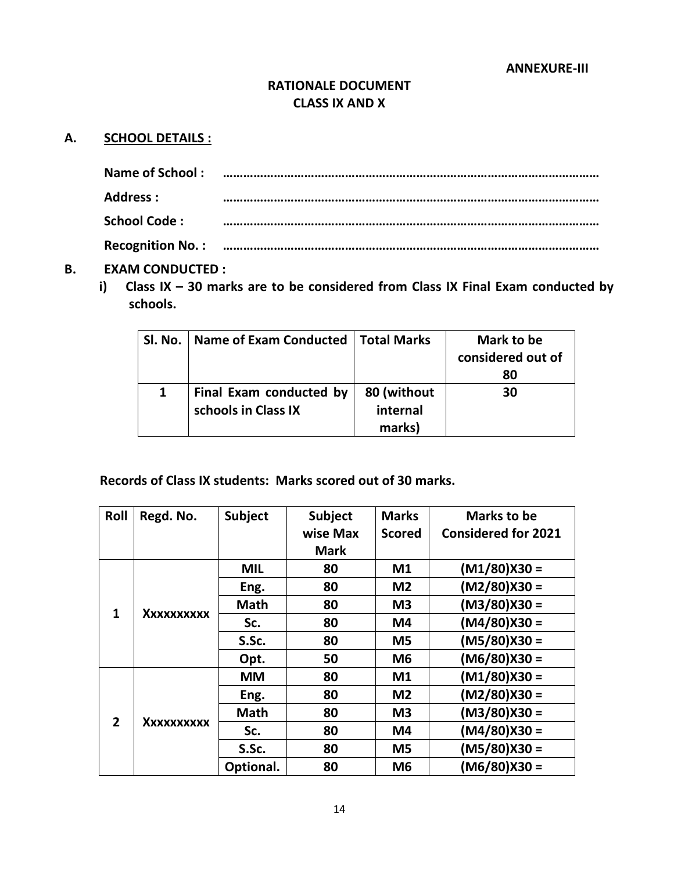## **RATIONALE DOCUMENT CLASS IX AND X**

## **A. SCHOOL DETAILS :**

| <b>Name of School:</b> |  |
|------------------------|--|
| Address :              |  |
|                        |  |
| <b>School Code:</b>    |  |
|                        |  |
|                        |  |

#### **B. EXAM CONDUCTED :**

**i) Class IX – 30 marks are to be considered from Class IX Final Exam conducted by schools.**

| Sl. No.   Name of Exam Conducted   Total Marks |                                   | Mark to be<br>considered out of<br>80 |
|------------------------------------------------|-----------------------------------|---------------------------------------|
| Final Exam conducted by<br>schools in Class IX | 80 (without<br>internal<br>marks) | 30                                    |

# **Records of Class IX students: Marks scored out of 30 marks.**

| Roll           | Regd. No.  | <b>Subject</b> | <b>Subject</b> | <b>Marks</b>   | <b>Marks to be</b>         |
|----------------|------------|----------------|----------------|----------------|----------------------------|
|                |            |                | wise Max       | <b>Scored</b>  | <b>Considered for 2021</b> |
|                |            |                | <b>Mark</b>    |                |                            |
|                |            | <b>MIL</b>     | 80             | M1             | $(M1/80)X30 =$             |
|                |            | Eng.           | 80             | M <sub>2</sub> | $(M2/80)X30 =$             |
| $\mathbf{1}$   | Xxxxxxxxxx | <b>Math</b>    | 80             | M <sub>3</sub> | $(M3/80)X30 =$             |
|                |            | Sc.            | 80             | M4             | $(M4/80)X30 =$             |
|                |            | S.Sc.          | 80             | M5             | $(M5/80)X30 =$             |
|                |            | Opt.           | 50             | M <sub>6</sub> | $(M6/80)X30 =$             |
|                |            | <b>MM</b>      | 80             | M <sub>1</sub> | $(M1/80)X30 =$             |
|                |            | Eng.           | 80             | M <sub>2</sub> | $(M2/80)X30 =$             |
| $\overline{2}$ |            | <b>Math</b>    | 80             | M <sub>3</sub> | $(M3/80)X30 =$             |
|                | Xxxxxxxxxx | Sc.            | 80             | M4             | $(M4/80)X30 =$             |
|                |            | S.Sc.          | 80             | M <sub>5</sub> | $(M5/80)X30 =$             |
|                |            | Optional.      | 80             | M <sub>6</sub> | $(M6/80)X30 =$             |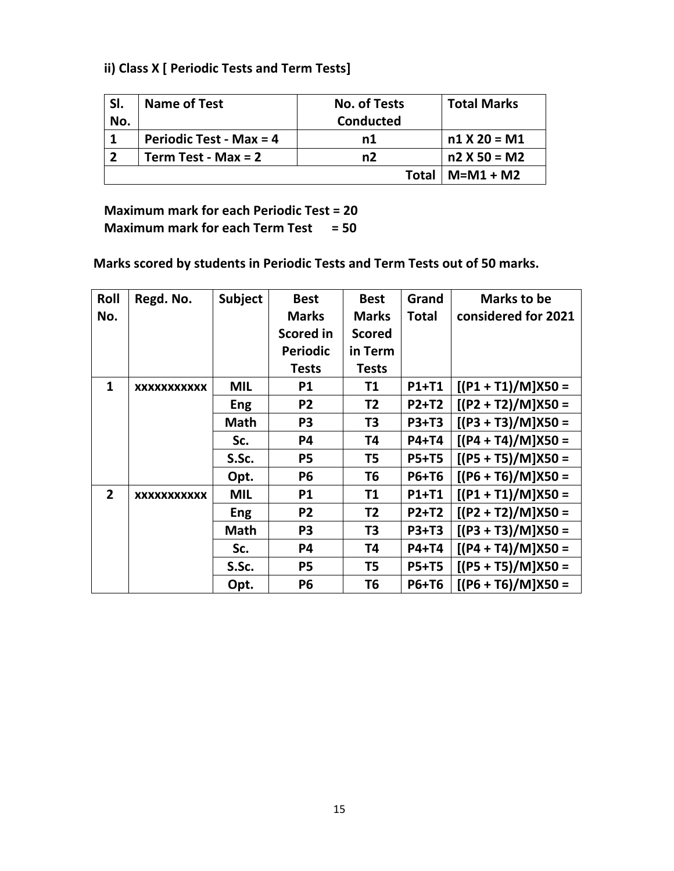# **ii) Class X [ Periodic Tests and Term Tests]**

| SI. | <b>Name of Test</b>            | <b>No. of Tests</b> | <b>Total Marks</b> |
|-----|--------------------------------|---------------------|--------------------|
| No. |                                | <b>Conducted</b>    |                    |
|     | <b>Periodic Test - Max = 4</b> | n1                  | $n1 X 20 = M1$     |
|     | Term Test - Max = $2$          | n2                  | $n2 X 50 = M2$     |
|     |                                | Total               | $M= M1 + M2$       |

**Maximum mark for each Periodic Test = 20 Maximum mark for each Term Test = 50** 

 **Marks scored by students in Periodic Tests and Term Tests out of 50 marks.** 

| Roll           | Regd. No.   | <b>Subject</b> | <b>Best</b>      | <b>Best</b>    | Grand        | <b>Marks to be</b>   |
|----------------|-------------|----------------|------------------|----------------|--------------|----------------------|
| No.            |             |                | <b>Marks</b>     | <b>Marks</b>   | <b>Total</b> | considered for 2021  |
|                |             |                | <b>Scored in</b> | <b>Scored</b>  |              |                      |
|                |             |                | <b>Periodic</b>  | in Term        |              |                      |
|                |             |                | <b>Tests</b>     | <b>Tests</b>   |              |                      |
| $\mathbf{1}$   | XXXXXXXXXXX | <b>MIL</b>     | <b>P1</b>        | <b>T1</b>      | P1+T1        | $[(P1 + T1)/M]X50 =$ |
|                |             | <b>Eng</b>     | P <sub>2</sub>   | T <sub>2</sub> | P2+T2        | $[(P2 + T2)/M]X50 =$ |
|                |             | <b>Math</b>    | P <sub>3</sub>   | T <sub>3</sub> | <b>P3+T3</b> | $[(P3 + T3)/M]X50 =$ |
|                |             | Sc.            | <b>P4</b>        | T4             | P4+T4        | $[(P4 + T4)/M]X50 =$ |
|                |             | S.Sc.          | <b>P5</b>        | T5             | <b>P5+T5</b> | $[(P5 + T5)/M]X50 =$ |
|                |             | Opt.           | <b>P6</b>        | T6             | P6+T6        | $[(P6 + T6)/M]X50 =$ |
| $\overline{2}$ | XXXXXXXXXXX | <b>MIL</b>     | <b>P1</b>        | T1             | P1+T1        | $[(P1 + T1)/M]X50 =$ |
|                |             | <b>Eng</b>     | P <sub>2</sub>   | T <sub>2</sub> | <b>P2+T2</b> | $[(P2 + T2)/M]X50 =$ |
|                |             | <b>Math</b>    | P <sub>3</sub>   | T3             | <b>P3+T3</b> | $[(P3 + T3)/M]X50 =$ |
|                |             | Sc.            | <b>P4</b>        | T4             | P4+T4        | $[(P4 + T4)/M]X50 =$ |
|                |             | S.Sc.          | <b>P5</b>        | T5             | <b>P5+T5</b> | $[(P5 + T5)/M]X50 =$ |
|                |             | Opt.           | <b>P6</b>        | Т6             | P6+T6        | $[(P6 + T6)/M]X50 =$ |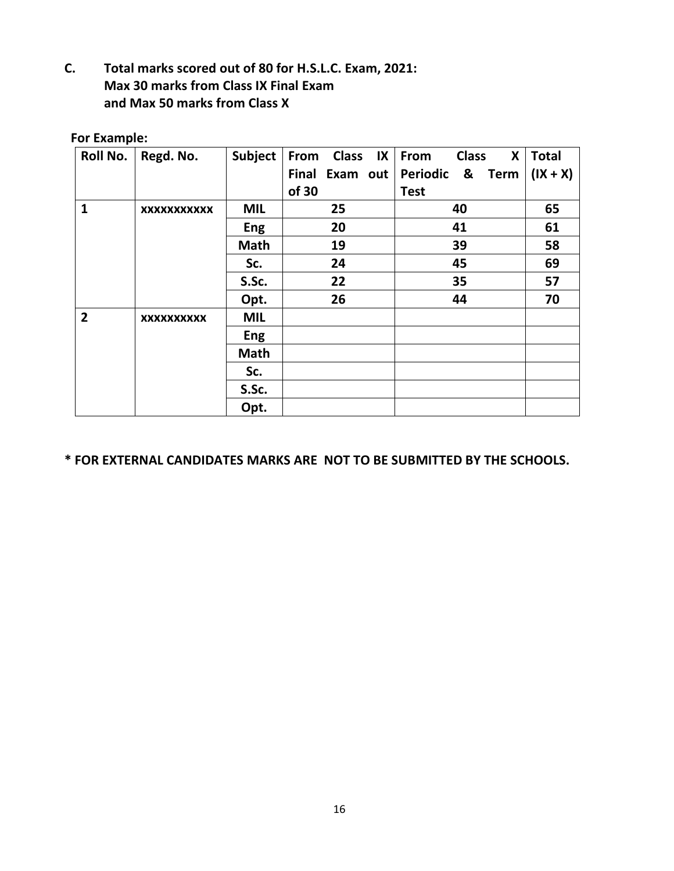**C. Total marks scored out of 80 for H.S.L.C. Exam, 2021: Max 30 marks from Class IX Final Exam and Max 50 marks from Class X**

## **For Example:**

| <b>Roll No.</b> | Regd. No.          | Subject     | Class IX   From<br>From | <b>Class</b><br>X            | <b>Total</b> |
|-----------------|--------------------|-------------|-------------------------|------------------------------|--------------|
|                 |                    |             | Final Exam out          | Periodic<br>&<br><b>Term</b> | $(IX + X)$   |
|                 |                    |             | of 30                   | <b>Test</b>                  |              |
| $\mathbf{1}$    | <b>XXXXXXXXXXX</b> | <b>MIL</b>  | 25                      | 40                           | 65           |
|                 |                    | Eng         | 20                      | 41                           | 61           |
|                 |                    | <b>Math</b> | 19                      | 39                           | 58           |
|                 |                    | Sc.         | 24                      | 45                           | 69           |
|                 |                    | S.Sc.       | 22                      | 35                           | 57           |
|                 |                    | Opt.        | 26                      | 44                           | 70           |
| $\overline{2}$  | <b>XXXXXXXXXX</b>  | <b>MIL</b>  |                         |                              |              |
|                 |                    | <b>Eng</b>  |                         |                              |              |
|                 |                    | <b>Math</b> |                         |                              |              |
|                 |                    | Sc.         |                         |                              |              |
|                 |                    | S.Sc.       |                         |                              |              |
|                 |                    | Opt.        |                         |                              |              |

## **\* FOR EXTERNAL CANDIDATES MARKS ARE NOT TO BE SUBMITTED BY THE SCHOOLS.**